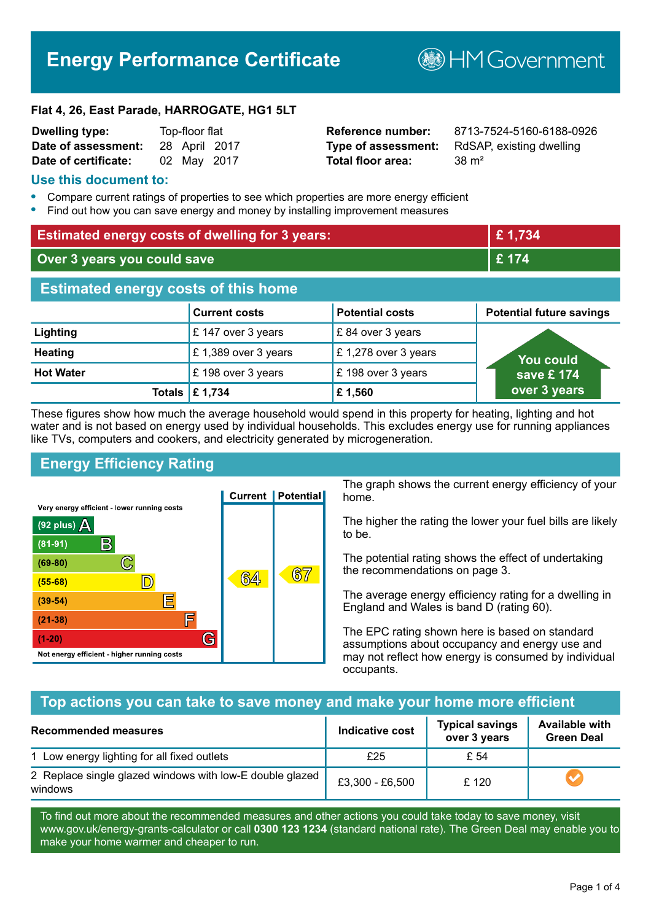# **Energy Performance Certificate**

**B**HM Government

#### **Flat 4, 26, East Parade, HARROGATE, HG1 5LT**

| <b>Dwelling type:</b> | Top-floor flat |             |               |
|-----------------------|----------------|-------------|---------------|
| Date of assessment:   |                |             | 28 April 2017 |
| Date of certificate:  |                | 02 May 2017 |               |

# **Total floor area:** 38 m<sup>2</sup>

**Reference number:** 8713-7524-5160-6188-0926 **Type of assessment:** RdSAP, existing dwelling

#### **Use this document to:**

- **•** Compare current ratings of properties to see which properties are more energy efficient
- **•** Find out how you can save energy and money by installing improvement measures

| <b>Estimated energy costs of dwelling for 3 years:</b> |                      |                        | £1,734                          |
|--------------------------------------------------------|----------------------|------------------------|---------------------------------|
| Over 3 years you could save                            |                      | £174                   |                                 |
| <b>Estimated energy costs of this home</b>             |                      |                        |                                 |
|                                                        | <b>Current costs</b> | <b>Potential costs</b> | <b>Potential future savings</b> |
| Lighting                                               | £147 over 3 years    | £84 over 3 years       |                                 |
| <b>Heating</b>                                         | £1,389 over 3 years  | £1,278 over 3 years    | You could                       |
| <b>Hot Water</b>                                       | £198 over 3 years    | £198 over 3 years      | save £ 174                      |
| Totals                                                 | £ 1,734              | £1,560                 | over 3 years                    |

These figures show how much the average household would spend in this property for heating, lighting and hot water and is not based on energy used by individual households. This excludes energy use for running appliances like TVs, computers and cookers, and electricity generated by microgeneration.

# **Energy Efficiency Rating**



The graph shows the current energy efficiency of your home.

The higher the rating the lower your fuel bills are likely to be.

The potential rating shows the effect of undertaking the recommendations on page 3.

The average energy efficiency rating for a dwelling in England and Wales is band D (rating 60).

The EPC rating shown here is based on standard assumptions about occupancy and energy use and may not reflect how energy is consumed by individual occupants.

#### **Top actions you can take to save money and make your home more efficient**

| <b>Recommended measures</b>                                         | Indicative cost | <b>Typical savings</b><br>over 3 years | <b>Available with</b><br><b>Green Deal</b> |
|---------------------------------------------------------------------|-----------------|----------------------------------------|--------------------------------------------|
| 1 Low energy lighting for all fixed outlets                         | £25             | £ 54                                   |                                            |
| 2 Replace single glazed windows with low-E double glazed<br>windows | £3,300 - £6,500 | £ 120                                  |                                            |

To find out more about the recommended measures and other actions you could take today to save money, visit www.gov.uk/energy-grants-calculator or call **0300 123 1234** (standard national rate). The Green Deal may enable you to make your home warmer and cheaper to run.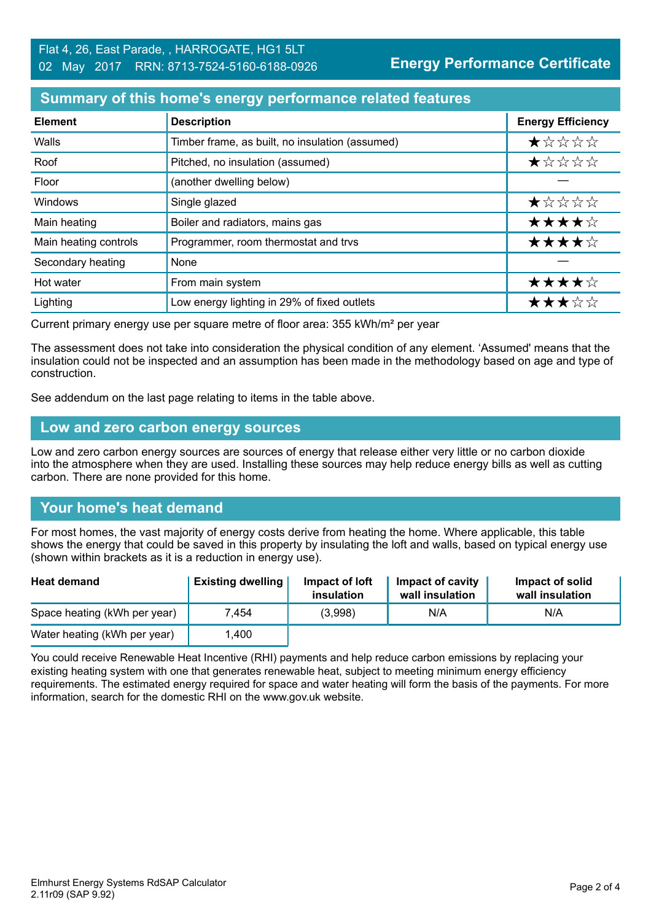# **Summary of this home's energy performance related features**

| <b>Element</b>        | <b>Description</b>                              | <b>Energy Efficiency</b> |
|-----------------------|-------------------------------------------------|--------------------------|
| Walls                 | Timber frame, as built, no insulation (assumed) | $\star$ * * * *          |
| Roof                  | Pitched, no insulation (assumed)                | *****                    |
| Floor                 | (another dwelling below)                        |                          |
| Windows               | Single glazed                                   | *****                    |
| Main heating          | Boiler and radiators, mains gas                 | ★★★★☆                    |
| Main heating controls | Programmer, room thermostat and trvs            | ★★★★☆                    |
| Secondary heating     | None                                            |                          |
| Hot water             | From main system                                | ★★★★☆                    |
| Lighting              | Low energy lighting in 29% of fixed outlets     | ★★★☆☆                    |

Current primary energy use per square metre of floor area: 355 kWh/m² per year

The assessment does not take into consideration the physical condition of any element. 'Assumed' means that the insulation could not be inspected and an assumption has been made in the methodology based on age and type of construction.

See addendum on the last page relating to items in the table above.

#### **Low and zero carbon energy sources**

Low and zero carbon energy sources are sources of energy that release either very little or no carbon dioxide into the atmosphere when they are used. Installing these sources may help reduce energy bills as well as cutting carbon. There are none provided for this home.

# **Your home's heat demand**

For most homes, the vast majority of energy costs derive from heating the home. Where applicable, this table shows the energy that could be saved in this property by insulating the loft and walls, based on typical energy use (shown within brackets as it is a reduction in energy use).

| <b>Heat demand</b>           | <b>Existing dwelling</b> | Impact of loft<br>insulation | Impact of cavity<br>wall insulation | Impact of solid<br>wall insulation |
|------------------------------|--------------------------|------------------------------|-------------------------------------|------------------------------------|
| Space heating (kWh per year) | 7.454                    | (3,998)                      | N/A                                 | N/A                                |
| Water heating (kWh per year) | .400                     |                              |                                     |                                    |

You could receive Renewable Heat Incentive (RHI) payments and help reduce carbon emissions by replacing your existing heating system with one that generates renewable heat, subject to meeting minimum energy efficiency requirements. The estimated energy required for space and water heating will form the basis of the payments. For more information, search for the domestic RHI on the www.gov.uk website.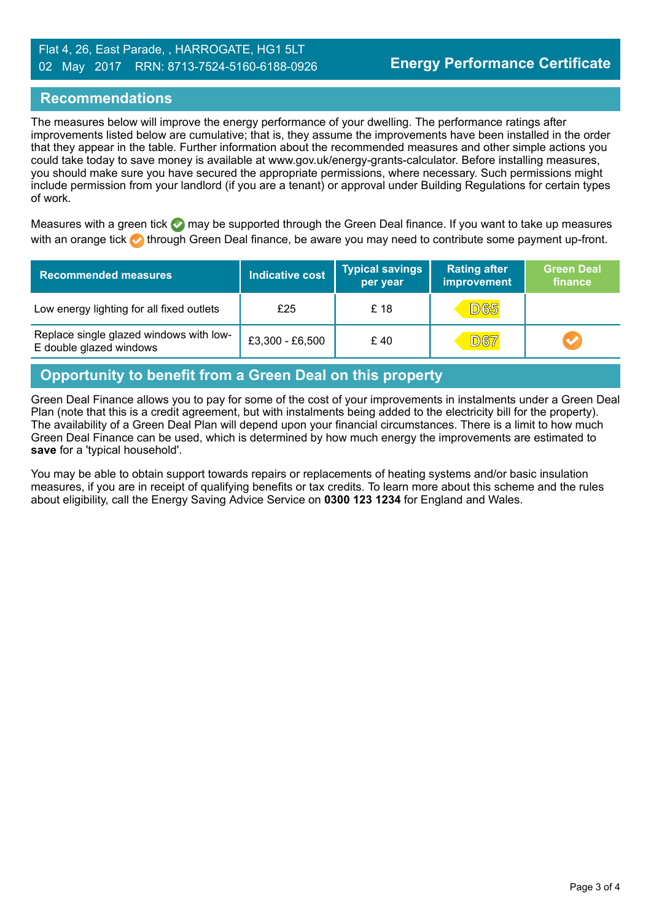#### Flat 4, 26, East Parade, , HARROGATE, HG1 5LT 02 May 2017 RRN: 8713-7524-5160-6188-0926

# **Recommendations**

The measures below will improve the energy performance of your dwelling. The performance ratings after improvements listed below are cumulative; that is, they assume the improvements have been installed in the order that they appear in the table. Further information about the recommended measures and other simple actions you could take today to save money is available at www.gov.uk/energy-grants-calculator. Before installing measures, you should make sure you have secured the appropriate permissions, where necessary. Such permissions might include permission from your landlord (if you are a tenant) or approval under Building Regulations for certain types of work.

Measures with a green tick  $\bullet$  may be supported through the Green Deal finance. If you want to take up measures with an orange tick **th** through Green Deal finance, be aware you may need to contribute some payment up-front.

| <b>Recommended measures</b>                                        | Indicative cost | <b>Typical savings</b><br>per year | <b>Rating after</b><br>improvement | <b>Green Deal</b><br>finance |
|--------------------------------------------------------------------|-----------------|------------------------------------|------------------------------------|------------------------------|
| Low energy lighting for all fixed outlets                          | £25             | £ 18                               | <b>D65</b>                         |                              |
| Replace single glazed windows with low-<br>E double glazed windows | £3,300 - £6,500 | £40                                | <b>D67</b>                         |                              |

# **Opportunity to benefit from a Green Deal on this property**

Green Deal Finance allows you to pay for some of the cost of your improvements in instalments under a Green Deal Plan (note that this is a credit agreement, but with instalments being added to the electricity bill for the property). The availability of a Green Deal Plan will depend upon your financial circumstances. There is a limit to how much Green Deal Finance can be used, which is determined by how much energy the improvements are estimated to **save** for a 'typical household'.

You may be able to obtain support towards repairs or replacements of heating systems and/or basic insulation measures, if you are in receipt of qualifying benefits or tax credits. To learn more about this scheme and the rules about eligibility, call the Energy Saving Advice Service on **0300 123 1234** for England and Wales.